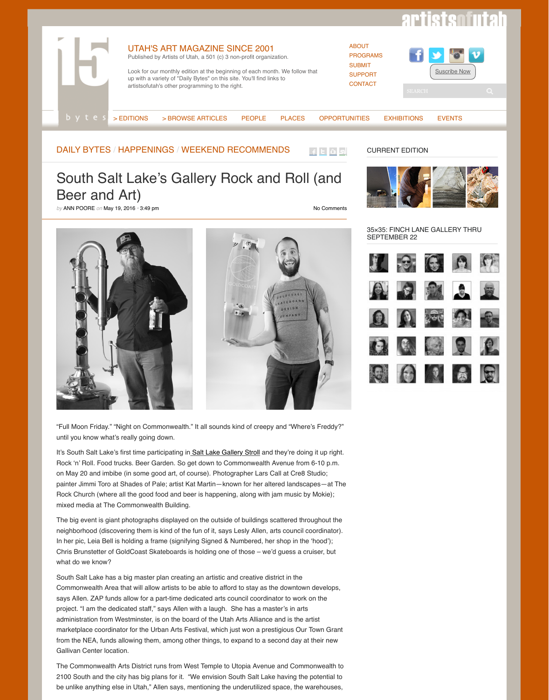

["Full Moon Friday."](http://artistsofutah.org/15Bytes) "Night on Commonwealth." It all sounds kind of creepy and " until you know [what's really goi](http://artistsofutah.org/15Bytes/index.php/category/15-bytes/)[ng down.](http://artistsofutah.org/15Bytes/index.php/category/articles/)

It's South Salt Lake's first time participating in Salt Lake Gallery Stroll and they'r Rock 'n' Roll. Food trucks. Beer Garden. So get down to Commonwealth Avenue [on May 20 and imb](http://artistsofutah.org/15Bytes/index.php/category/daily-bytes/)i[be \(in some good art](http://artistsofutah.org/15Bytes/index.php/category/daily-bytes/happenings/), of course). Photographer Lars Call at painter Jimmi Toro at Shades of Pale; artist Kat Martin—known for her altered la Rock Church (where all the good food and beer is happening, along with jam must mixed media at The Commonwealth Building.

The big event is giant photographs displayed on the outside of buildings scattere n[eighborhood](http://artistsofutah.org/15Bytes/index.php/author/annpoore/) (discovering them is kind of the fun of it, says Lesly Allen, arts council contator). In her pic, Leia Bell is holding a frame (signifying Signed & Numbered, her shop Chris Brunstetter of GoldCoast Skateboards is holding one of those – we'd gues what do we know?

South Salt Lake has a big master plan creating an artistic and creative district in Commonwealth Area that will allow artists to be able to afford to stay as the dow says Allen. ZAP funds allow for a part-time dedicated arts council coordinator to project. "I am the dedicated staff," says Allen with a laugh. She has a master's in administration from Westminster, is on the board of the Utah Arts Alliance and is marketplace coordinator for the Urban Arts Festival, which just won a prestigious from the NEA, funds allowing them, among other things, to expand to a second Gallivan Center location.

The Commonwealth Arts District runs from West Temple to Utopia Avenue and One 2100 South and the city has big plans for it. "We envision South Salt Lake havir be unlike anything else in Utah," Allen says, mentioning the underutilized space,